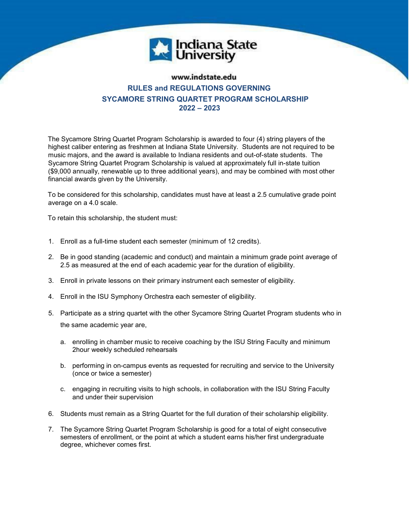

## www.indstate.edu **RULES and REGULATIONS GOVERNING SYCAMORE STRING QUARTET PROGRAM SCHOLARSHIP 2022 – 2023**

The Sycamore String Quartet Program Scholarship is awarded to four (4) string players of the highest caliber entering as freshmen at Indiana State University. Students are not required to be music majors, and the award is available to Indiana residents and out-of-state students. The Sycamore String Quartet Program Scholarship is valued at approximately full in-state tuition (\$9,000 annually, renewable up to three additional years), and may be combined with most other financial awards given by the University.

To be considered for this scholarship, candidates must have at least a 2.5 cumulative grade point average on a 4.0 scale.

To retain this scholarship, the student must:

- 1. Enroll as a full-time student each semester (minimum of 12 credits).
- 2. Be in good standing (academic and conduct) and maintain a minimum grade point average of 2.5 as measured at the end of each academic year for the duration of eligibility.
- 3. Enroll in private lessons on their primary instrument each semester of eligibility.
- 4. Enroll in the ISU Symphony Orchestra each semester of eligibility.
- 5. Participate as a string quartet with the other Sycamore String Quartet Program students who in the same academic year are,
	- a. enrolling in chamber music to receive coaching by the ISU String Faculty and minimum 2hour weekly scheduled rehearsals
	- b. performing in on-campus events as requested for recruiting and service to the University (once or twice a semester)
	- c. engaging in recruiting visits to high schools, in collaboration with the ISU String Faculty and under their supervision
- 6. Students must remain as a String Quartet for the full duration of their scholarship eligibility.
- 7. The Sycamore String Quartet Program Scholarship is good for a total of eight consecutive semesters of enrollment, or the point at which a student earns his/her first undergraduate degree, whichever comes first.